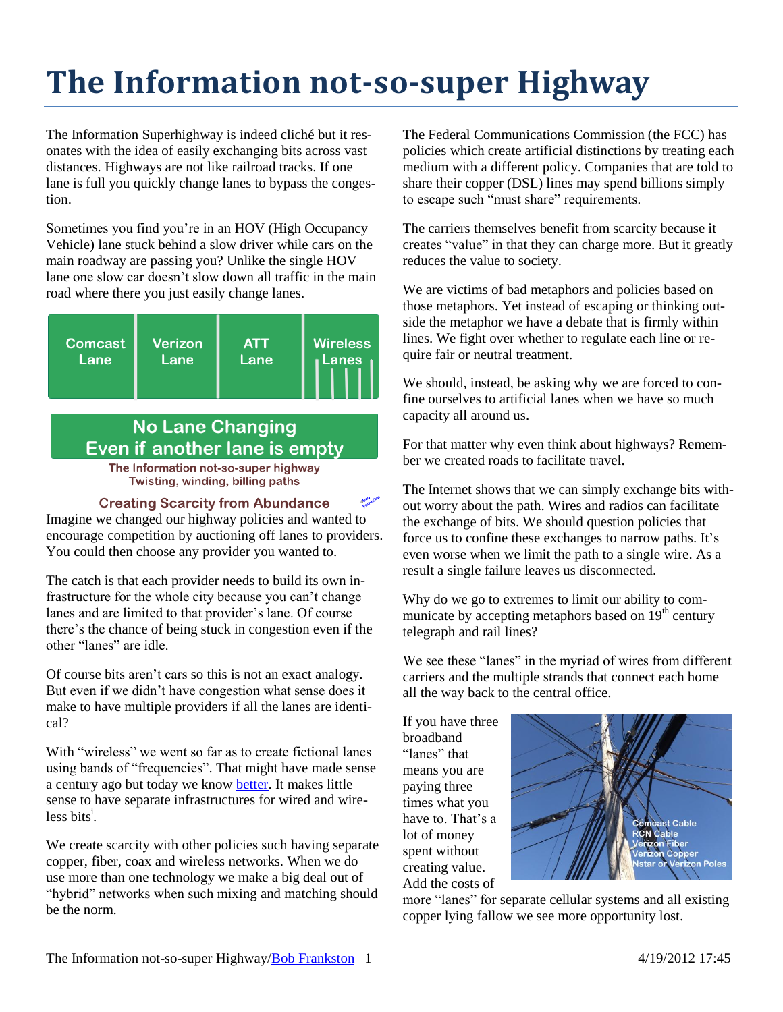## **The Information not-so-super Highway**

The Information Superhighway is indeed cliché but it resonates with the idea of easily exchanging bits across vast distances. Highways are not like railroad tracks. If one lane is full you quickly change lanes to bypass the congestion.

Sometimes you find you're in an HOV (High Occupancy Vehicle) lane stuck behind a slow driver while cars on the main roadway are passing you? Unlike the single HOV lane one slow car doesn't slow down all traffic in the main road where there you just easily change lanes.



## **No Lane Changing** Even if another lane is empty

The Information not-so-super highway Twisting, winding, billing paths

## **Creating Scarcity from Abundance**

Imagine we changed our highway policies and wanted to encourage competition by auctioning off lanes to providers. You could then choose any provider you wanted to.

The catch is that each provider needs to build its own infrastructure for the whole city because you can't change lanes and are limited to that provider's lane. Of course there's the chance of being stuck in congestion even if the other "lanes" are idle.

Of course bits aren't cars so this is not an exact analogy. But even if we didn't have congestion what sense does it make to have multiple providers if all the lanes are identical?

With "wireless" we went so far as to create fictional lanes using bands of "frequencies". That might have made sense a century ago but today we know [better.](http://rmf.vc/sd.NotSuper) It makes little sense to have separate infrastructures for wired and wireless bits<sup>i</sup>.

We create scarcity with other policies such having separate copper, fiber, coax and wireless networks. When we do use more than one technology we make a big deal out of "hybrid" networks when such mixing and matching should be the norm.

The Federal Communications Commission (the FCC) has policies which create artificial distinctions by treating each medium with a different policy. Companies that are told to share their copper (DSL) lines may spend billions simply to escape such "must share" requirements.

The carriers themselves benefit from scarcity because it creates "value" in that they can charge more. But it greatly reduces the value to society.

We are victims of bad metaphors and policies based on those metaphors. Yet instead of escaping or thinking outside the metaphor we have a debate that is firmly within lines. We fight over whether to regulate each line or require fair or neutral treatment.

We should, instead, be asking why we are forced to confine ourselves to artificial lanes when we have so much capacity all around us.

For that matter why even think about highways? Remember we created roads to facilitate travel.

The Internet shows that we can simply exchange bits without worry about the path. Wires and radios can facilitate the exchange of bits. We should question policies that force us to confine these exchanges to narrow paths. It's even worse when we limit the path to a single wire. As a result a single failure leaves us disconnected.

Why do we go to extremes to limit our ability to communicate by accepting metaphors based on  $19<sup>th</sup>$  century telegraph and rail lines?

We see these "lanes" in the myriad of wires from different carriers and the multiple strands that connect each home all the way back to the central office.

If you have three broadband "lanes" that means you are paying three times what you have to. That's a lot of money spent without creating value. Add the costs of



more "lanes" for separate cellular systems and all existing copper lying fallow we see more opportunity lost.